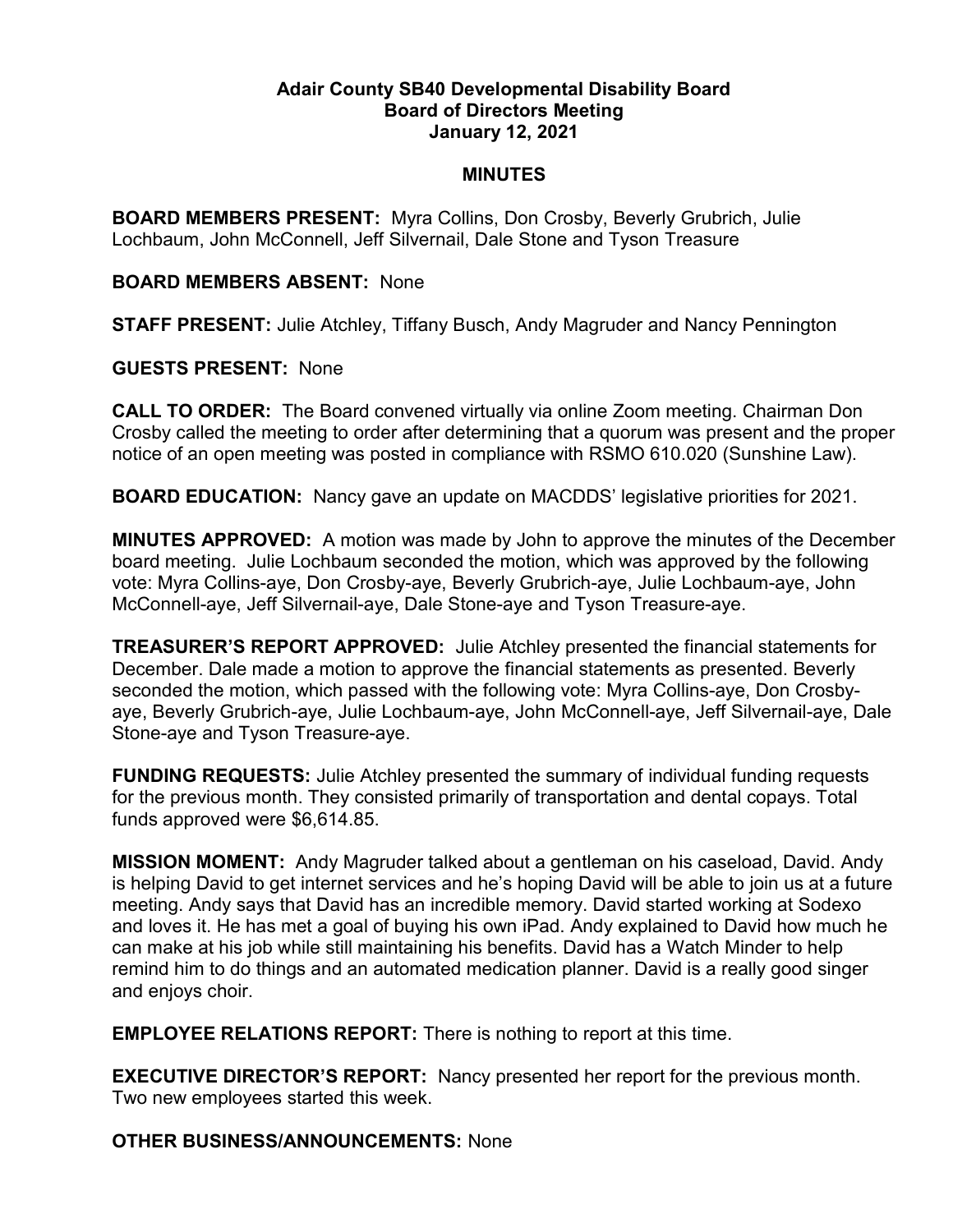## Adair County SB40 Developmental Disability Board Board of Directors Meeting January 12, 2021

## MINUTES

BOARD MEMBERS PRESENT: Myra Collins, Don Crosby, Beverly Grubrich, Julie Lochbaum, John McConnell, Jeff Silvernail, Dale Stone and Tyson Treasure

## BOARD MEMBERS ABSENT: None

STAFF PRESENT: Julie Atchley, Tiffany Busch, Andy Magruder and Nancy Pennington

## GUESTS PRESENT: None

CALL TO ORDER: The Board convened virtually via online Zoom meeting. Chairman Don Crosby called the meeting to order after determining that a quorum was present and the proper notice of an open meeting was posted in compliance with RSMO 610.020 (Sunshine Law).

BOARD EDUCATION: Nancy gave an update on MACDDS' legislative priorities for 2021.

MINUTES APPROVED: A motion was made by John to approve the minutes of the December board meeting. Julie Lochbaum seconded the motion, which was approved by the following vote: Myra Collins-aye, Don Crosby-aye, Beverly Grubrich-aye, Julie Lochbaum-aye, John McConnell-aye, Jeff Silvernail-aye, Dale Stone-aye and Tyson Treasure-aye.

TREASURER'S REPORT APPROVED: Julie Atchley presented the financial statements for December. Dale made a motion to approve the financial statements as presented. Beverly seconded the motion, which passed with the following vote: Myra Collins-aye, Don Crosbyaye, Beverly Grubrich-aye, Julie Lochbaum-aye, John McConnell-aye, Jeff Silvernail-aye, Dale Stone-aye and Tyson Treasure-aye.

FUNDING REQUESTS: Julie Atchley presented the summary of individual funding requests for the previous month. They consisted primarily of transportation and dental copays. Total funds approved were \$6,614.85.

MISSION MOMENT: Andy Magruder talked about a gentleman on his caseload, David. Andy is helping David to get internet services and he's hoping David will be able to join us at a future meeting. Andy says that David has an incredible memory. David started working at Sodexo and loves it. He has met a goal of buying his own iPad. Andy explained to David how much he can make at his job while still maintaining his benefits. David has a Watch Minder to help remind him to do things and an automated medication planner. David is a really good singer and enjoys choir.

EMPLOYEE RELATIONS REPORT: There is nothing to report at this time.

EXECUTIVE DIRECTOR'S REPORT: Nancy presented her report for the previous month. Two new employees started this week.

OTHER BUSINESS/ANNOUNCEMENTS: None